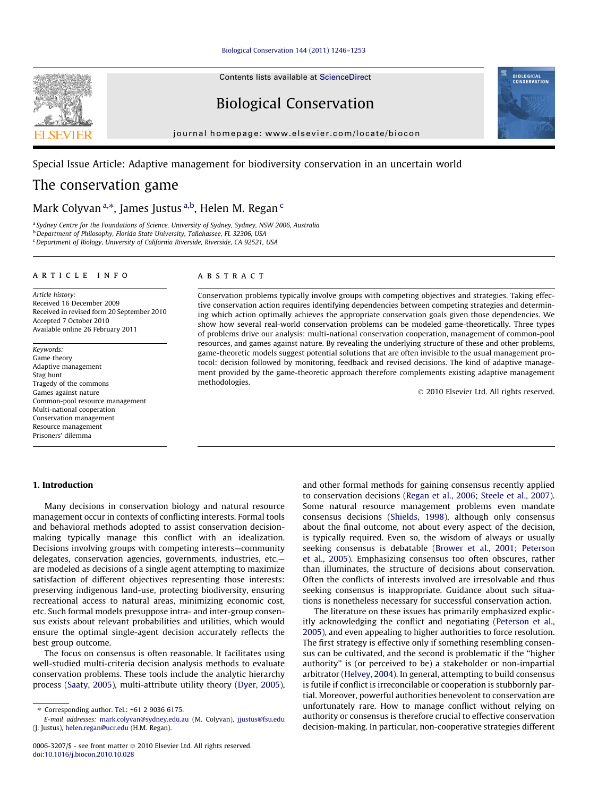Contents lists available at [ScienceDirect](http://www.sciencedirect.com/science/journal/00063207)

Biological Conservation

journal homepage: [www.elsevier.com/locate/biocon](http://www.elsevier.com/locate/biocon)

# Special Issue Article: Adaptive management for biodiversity conservation in an uncertain world

# The conservation game

# Mark Colyvan <sup>a,</sup>\*, James Justus <sup>a,b</sup>, Helen M. Regan <sup>c</sup>

<sup>a</sup> Sydney Centre for the Foundations of Science, University of Sydney, Sydney, NSW 2006, Australia b Department of Philosophy, Florida State University, Tallahassee, FL 32306, USA <sup>c</sup> Department of Biology, University of California Riverside, Riverside, CA 92521, USA

## article info

Article history: Received 16 December 2009 Received in revised form 20 September 2010 Accepted 7 October 2010 Available online 26 February 2011

Keywords: Game theory Adaptive management Stag hunt Tragedy of the commons Games against nature Common-pool resource management Multi-national cooperation Conservation management Resource management Prisoners' dilemma

# ABSTRACT

Conservation problems typically involve groups with competing objectives and strategies. Taking effective conservation action requires identifying dependencies between competing strategies and determining which action optimally achieves the appropriate conservation goals given those dependencies. We show how several real-world conservation problems can be modeled game-theoretically. Three types of problems drive our analysis: multi-national conservation cooperation, management of common-pool resources, and games against nature. By revealing the underlying structure of these and other problems, game-theoretic models suggest potential solutions that are often invisible to the usual management protocol: decision followed by monitoring, feedback and revised decisions. The kind of adaptive management provided by the game-theoretic approach therefore complements existing adaptive management methodologies.

- 2010 Elsevier Ltd. All rights reserved.

# 1. Introduction

Many decisions in conservation biology and natural resource management occur in contexts of conflicting interests. Formal tools and behavioral methods adopted to assist conservation decisionmaking typically manage this conflict with an idealization. Decisions involving groups with competing interests—community delegates, conservation agencies, governments, industries, etc. are modeled as decisions of a single agent attempting to maximize satisfaction of different objectives representing those interests: preserving indigenous land-use, protecting biodiversity, ensuring recreational access to natural areas, minimizing economic cost, etc. Such formal models presuppose intra- and inter-group consensus exists about relevant probabilities and utilities, which would ensure the optimal single-agent decision accurately reflects the best group outcome.

The focus on consensus is often reasonable. It facilitates using well-studied multi-criteria decision analysis methods to evaluate conservation problems. These tools include the analytic hierarchy process [\(Saaty, 2005\)](#page-7-0), multi-attribute utility theory ([Dyer, 2005\)](#page-6-0), and other formal methods for gaining consensus recently applied to conservation decisions ([Regan et al., 2006; Steele et al., 2007\)](#page-7-0). Some natural resource management problems even mandate consensus decisions [\(Shields, 1998\)](#page-7-0), although only consensus about the final outcome, not about every aspect of the decision, is typically required. Even so, the wisdom of always or usually seeking consensus is debatable ([Brower et al., 2001; Peterson](#page-6-0) [et al., 2005\)](#page-6-0). Emphasizing consensus too often obscures, rather than illuminates, the structure of decisions about conservation. Often the conflicts of interests involved are irresolvable and thus seeking consensus is inappropriate. Guidance about such situations is nonetheless necessary for successful conservation action.

The literature on these issues has primarily emphasized explicitly acknowledging the conflict and negotiating [\(Peterson et al.,](#page-7-0) [2005\)](#page-7-0), and even appealing to higher authorities to force resolution. The first strategy is effective only if something resembling consensus can be cultivated, and the second is problematic if the ''higher authority'' is (or perceived to be) a stakeholder or non-impartial arbitrator [\(Helvey, 2004\)](#page-6-0). In general, attempting to build consensus is futile if conflict is irreconcilable or cooperation is stubbornly partial. Moreover, powerful authorities benevolent to conservation are unfortunately rare. How to manage conflict without relying on authority or consensus is therefore crucial to effective conservation decision-making. In particular, non-cooperative strategies different





<sup>⇑</sup> Corresponding author. Tel.: +61 2 9036 6175.

E-mail addresses: [mark.colyvan@sydney.edu.au](mailto:mark.colyvan@sydney.edu.au) (M. Colyvan), [jjustus@fsu.edu](mailto:jjustus@fsu.edu) (J. Justus), [helen.regan@ucr.edu](mailto:helen.regan@ucr.edu) (H.M. Regan).

<sup>0006-3207/\$ -</sup> see front matter © 2010 Elsevier Ltd. All rights reserved. doi:[10.1016/j.biocon.2010.10.028](http://dx.doi.org/10.1016/j.biocon.2010.10.028)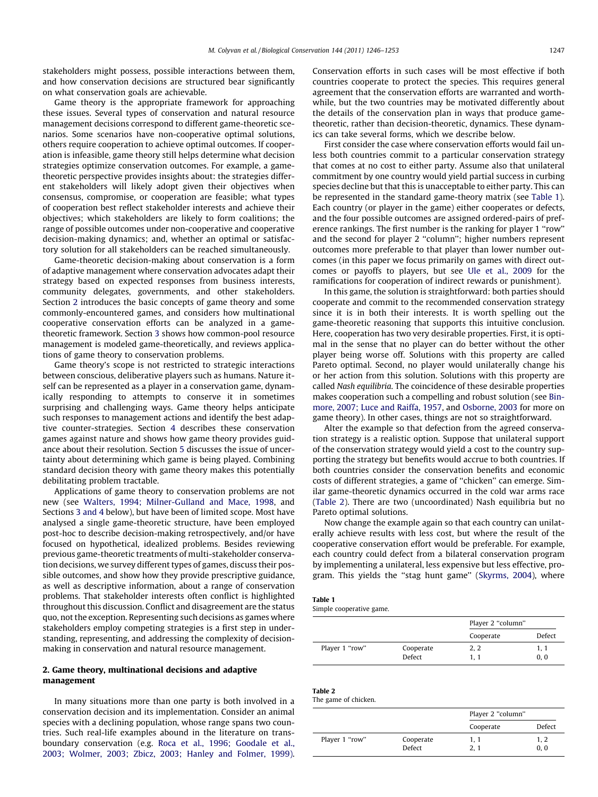<span id="page-1-0"></span>stakeholders might possess, possible interactions between them, and how conservation decisions are structured bear significantly on what conservation goals are achievable.

Game theory is the appropriate framework for approaching these issues. Several types of conservation and natural resource management decisions correspond to different game-theoretic scenarios. Some scenarios have non-cooperative optimal solutions, others require cooperation to achieve optimal outcomes. If cooperation is infeasible, game theory still helps determine what decision strategies optimize conservation outcomes. For example, a gametheoretic perspective provides insights about: the strategies different stakeholders will likely adopt given their objectives when consensus, compromise, or cooperation are feasible; what types of cooperation best reflect stakeholder interests and achieve their objectives; which stakeholders are likely to form coalitions; the range of possible outcomes under non-cooperative and cooperative decision-making dynamics; and, whether an optimal or satisfactory solution for all stakeholders can be reached simultaneously.

Game-theoretic decision-making about conservation is a form of adaptive management where conservation advocates adapt their strategy based on expected responses from business interests, community delegates, governments, and other stakeholders. Section 2 introduces the basic concepts of game theory and some commonly-encountered games, and considers how multinational cooperative conservation efforts can be analyzed in a gametheoretic framework. Section [3](#page-2-0) shows how common-pool resource management is modeled game-theoretically, and reviews applications of game theory to conservation problems.

Game theory's scope is not restricted to strategic interactions between conscious, deliberative players such as humans. Nature itself can be represented as a player in a conservation game, dynamically responding to attempts to conserve it in sometimes surprising and challenging ways. Game theory helps anticipate such responses to management actions and identify the best adaptive counter-strategies. Section [4](#page-4-0) describes these conservation games against nature and shows how game theory provides guidance about their resolution. Section [5](#page-5-0) discusses the issue of uncertainty about determining which game is being played. Combining standard decision theory with game theory makes this potentially debilitating problem tractable.

Applications of game theory to conservation problems are not new (see [Walters, 1994; Milner-Gulland and Mace, 1998,](#page-7-0) and Sections [3 and 4](#page-2-0) below), but have been of limited scope. Most have analysed a single game-theoretic structure, have been employed post-hoc to describe decision-making retrospectively, and/or have focused on hypothetical, idealized problems. Besides reviewing previous game-theoretic treatments of multi-stakeholder conservation decisions, we survey different types of games, discuss their possible outcomes, and show how they provide prescriptive guidance, as well as descriptive information, about a range of conservation problems. That stakeholder interests often conflict is highlighted throughout this discussion. Conflict and disagreement are the status quo, not the exception. Representing such decisions as games where stakeholders employ competing strategies is a first step in understanding, representing, and addressing the complexity of decisionmaking in conservation and natural resource management.

# 2. Game theory, multinational decisions and adaptive management

In many situations more than one party is both involved in a conservation decision and its implementation. Consider an animal species with a declining population, whose range spans two countries. Such real-life examples abound in the literature on transboundary conservation (e.g. [Roca et al., 1996; Goodale et al.,](#page-7-0) [2003; Wolmer, 2003; Zbicz, 2003; Hanley and Folmer, 1999\).](#page-7-0)

Conservation efforts in such cases will be most effective if both countries cooperate to protect the species. This requires general agreement that the conservation efforts are warranted and worthwhile, but the two countries may be motivated differently about the details of the conservation plan in ways that produce gametheoretic, rather than decision-theoretic, dynamics. These dynamics can take several forms, which we describe below.

First consider the case where conservation efforts would fail unless both countries commit to a particular conservation strategy that comes at no cost to either party. Assume also that unilateral commitment by one country would yield partial success in curbing species decline but that this is unacceptable to either party. This can be represented in the standard game-theory matrix (see Table 1). Each country (or player in the game) either cooperates or defects, and the four possible outcomes are assigned ordered-pairs of preference rankings. The first number is the ranking for player 1 ''row'' and the second for player 2 "column"; higher numbers represent outcomes more preferable to that player than lower number outcomes (in this paper we focus primarily on games with direct outcomes or payoffs to players, but see [Ule et al., 2009](#page-7-0) for the ramifications for cooperation of indirect rewards or punishment).

In this game, the solution is straightforward: both parties should cooperate and commit to the recommended conservation strategy since it is in both their interests. It is worth spelling out the game-theoretic reasoning that supports this intuitive conclusion. Here, cooperation has two very desirable properties. First, it is optimal in the sense that no player can do better without the other player being worse off. Solutions with this property are called Pareto optimal. Second, no player would unilaterally change his or her action from this solution. Solutions with this property are called Nash equilibria. The coincidence of these desirable properties makes cooperation such a compelling and robust solution (see [Bin](#page-6-0)[more, 2007; Luce and Raiffa, 1957](#page-6-0), and [Osborne, 2003](#page-7-0) for more on game theory). In other cases, things are not so straightforward.

Alter the example so that defection from the agreed conservation strategy is a realistic option. Suppose that unilateral support of the conservation strategy would yield a cost to the country supporting the strategy but benefits would accrue to both countries. If both countries consider the conservation benefits and economic costs of different strategies, a game of ''chicken'' can emerge. Similar game-theoretic dynamics occurred in the cold war arms race (Table 2). There are two (uncoordinated) Nash equilibria but no Pareto optimal solutions.

Now change the example again so that each country can unilaterally achieve results with less cost, but where the result of the cooperative conservation effort would be preferable. For example, each country could defect from a bilateral conservation program by implementing a unilateral, less expensive but less effective, program. This yields the ''stag hunt game'' [\(Skyrms, 2004\)](#page-7-0), where

Table 1

Simple cooperative game.

|                |                     | Player 2 "column" |             |
|----------------|---------------------|-------------------|-------------|
|                |                     | Cooperate         | Defect      |
| Player 1 "row" | Cooperate<br>Defect | 2, 2<br>1.1       | 1, 1<br>0.0 |

Table 2

The game of chicken.

|                |                     | Player 2 "column" |              |
|----------------|---------------------|-------------------|--------------|
|                |                     | Cooperate         | Defect       |
| Player 1 "row" | Cooperate<br>Defect | 1, 1<br>2. 1      | 1, 2<br>0, 0 |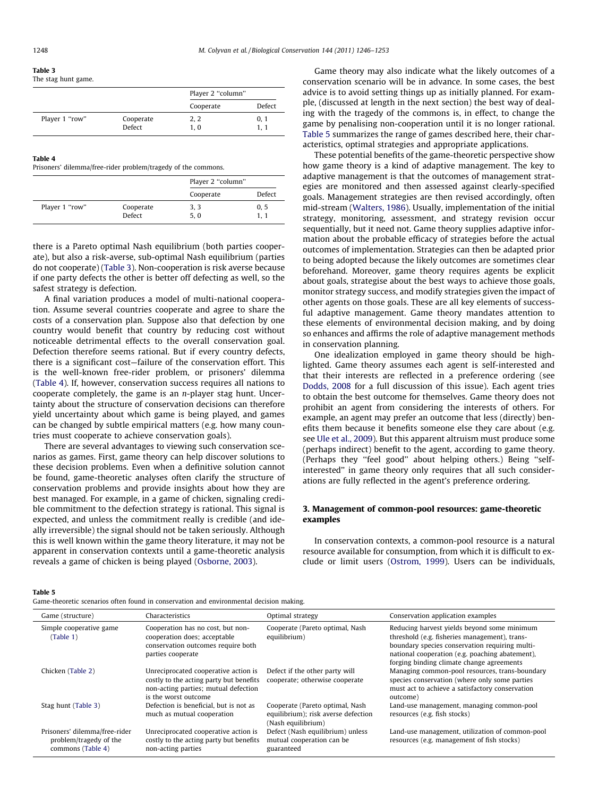#### <span id="page-2-0"></span>Table 3

The stag hunt game.

|                |                     | Player 2 "column" |             |
|----------------|---------------------|-------------------|-------------|
|                |                     | Cooperate         | Defect      |
| Player 1 "row" | Cooperate<br>Defect | 2, 2<br>1. 0      | 0, 1<br>1.1 |

#### Table 4

Prisoners' dilemma/free-rider problem/tragedy of the commons.

|                |                     | Player 2 "column" |              |
|----------------|---------------------|-------------------|--------------|
|                |                     | Cooperate         | Defect       |
| Player 1 "row" | Cooperate<br>Defect | 3, 3<br>5.0       | 0, 5<br>1. 1 |

there is a Pareto optimal Nash equilibrium (both parties cooperate), but also a risk-averse, sub-optimal Nash equilibrium (parties do not cooperate) (Table 3). Non-cooperation is risk averse because if one party defects the other is better off defecting as well, so the safest strategy is defection.

A final variation produces a model of multi-national cooperation. Assume several countries cooperate and agree to share the costs of a conservation plan. Suppose also that defection by one country would benefit that country by reducing cost without noticeable detrimental effects to the overall conservation goal. Defection therefore seems rational. But if every country defects, there is a significant cost—failure of the conservation effort. This is the well-known free-rider problem, or prisoners' dilemma (Table 4). If, however, conservation success requires all nations to cooperate completely, the game is an n-player stag hunt. Uncertainty about the structure of conservation decisions can therefore yield uncertainty about which game is being played, and games can be changed by subtle empirical matters (e.g. how many countries must cooperate to achieve conservation goals).

There are several advantages to viewing such conservation scenarios as games. First, game theory can help discover solutions to these decision problems. Even when a definitive solution cannot be found, game-theoretic analyses often clarify the structure of conservation problems and provide insights about how they are best managed. For example, in a game of chicken, signaling credible commitment to the defection strategy is rational. This signal is expected, and unless the commitment really is credible (and ideally irreversible) the signal should not be taken seriously. Although this is well known within the game theory literature, it may not be apparent in conservation contexts until a game-theoretic analysis reveals a game of chicken is being played ([Osborne, 2003\)](#page-7-0).

Game theory may also indicate what the likely outcomes of a conservation scenario will be in advance. In some cases, the best advice is to avoid setting things up as initially planned. For example, (discussed at length in the next section) the best way of dealing with the tragedy of the commons is, in effect, to change the game by penalising non-cooperation until it is no longer rational. Table 5 summarizes the range of games described here, their characteristics, optimal strategies and appropriate applications.

These potential benefits of the game-theoretic perspective show how game theory is a kind of adaptive management. The key to adaptive management is that the outcomes of management strategies are monitored and then assessed against clearly-specified goals. Management strategies are then revised accordingly, often mid-stream [\(Walters, 1986](#page-7-0)). Usually, implementation of the initial strategy, monitoring, assessment, and strategy revision occur sequentially, but it need not. Game theory supplies adaptive information about the probable efficacy of strategies before the actual outcomes of implementation. Strategies can then be adapted prior to being adopted because the likely outcomes are sometimes clear beforehand. Moreover, game theory requires agents be explicit about goals, strategise about the best ways to achieve those goals, monitor strategy success, and modify strategies given the impact of other agents on those goals. These are all key elements of successful adaptive management. Game theory mandates attention to these elements of environmental decision making, and by doing so enhances and affirms the role of adaptive management methods in conservation planning.

One idealization employed in game theory should be highlighted. Game theory assumes each agent is self-interested and that their interests are reflected in a preference ordering (see [Dodds, 2008](#page-6-0) for a full discussion of this issue). Each agent tries to obtain the best outcome for themselves. Game theory does not prohibit an agent from considering the interests of others. For example, an agent may prefer an outcome that less (directly) benefits them because it benefits someone else they care about (e.g. see [Ule et al., 2009](#page-7-0)). But this apparent altruism must produce some (perhaps indirect) benefit to the agent, according to game theory. (Perhaps they ''feel good'' about helping others.) Being ''selfinterested'' in game theory only requires that all such considerations are fully reflected in the agent's preference ordering.

# 3. Management of common-pool resources: game-theoretic examples

In conservation contexts, a common-pool resource is a natural resource available for consumption, from which it is difficult to exclude or limit users [\(Ostrom, 1999\)](#page-7-0). Users can be individuals,

#### Table 5

Game-theoretic scenarios often found in conservation and environmental decision making.

| Game (structure)                                                             | Characteristics                                                                                                                                 | Optimal strategy                                                                             | Conservation application examples                                                                                                                                                                                                              |
|------------------------------------------------------------------------------|-------------------------------------------------------------------------------------------------------------------------------------------------|----------------------------------------------------------------------------------------------|------------------------------------------------------------------------------------------------------------------------------------------------------------------------------------------------------------------------------------------------|
| Simple cooperative game<br>(Table 1)                                         | Cooperation has no cost, but non-<br>cooperation does; acceptable<br>conservation outcomes require both<br>parties cooperate                    | Cooperate (Pareto optimal, Nash<br>equilibrium)                                              | Reducing harvest yields beyond some minimum<br>threshold (e.g. fisheries management), trans-<br>boundary species conservation requiring multi-<br>national cooperation (e.g. poaching abatement),<br>forging binding climate change agreements |
| Chicken (Table 2)                                                            | Unreciprocated cooperative action is<br>costly to the acting party but benefits<br>non-acting parties; mutual defection<br>is the worst outcome | Defect if the other party will<br>cooperate; otherwise cooperate                             | Managing common-pool resources, trans-boundary<br>species conservation (where only some parties<br>must act to achieve a satisfactory conservation<br>outcome)                                                                                 |
| Stag hunt (Table 3)                                                          | Defection is beneficial, but is not as<br>much as mutual cooperation                                                                            | Cooperate (Pareto optimal, Nash<br>equilibrium); risk averse defection<br>(Nash equilibrium) | Land-use management, managing common-pool<br>resources (e.g. fish stocks)                                                                                                                                                                      |
| Prisoners' dilemma/free-rider<br>problem/tragedy of the<br>commons (Table 4) | Unreciprocated cooperative action is<br>costly to the acting party but benefits<br>non-acting parties                                           | Defect (Nash equilibrium) unless<br>mutual cooperation can be<br>guaranteed                  | Land-use management, utilization of common-pool<br>resources (e.g. management of fish stocks)                                                                                                                                                  |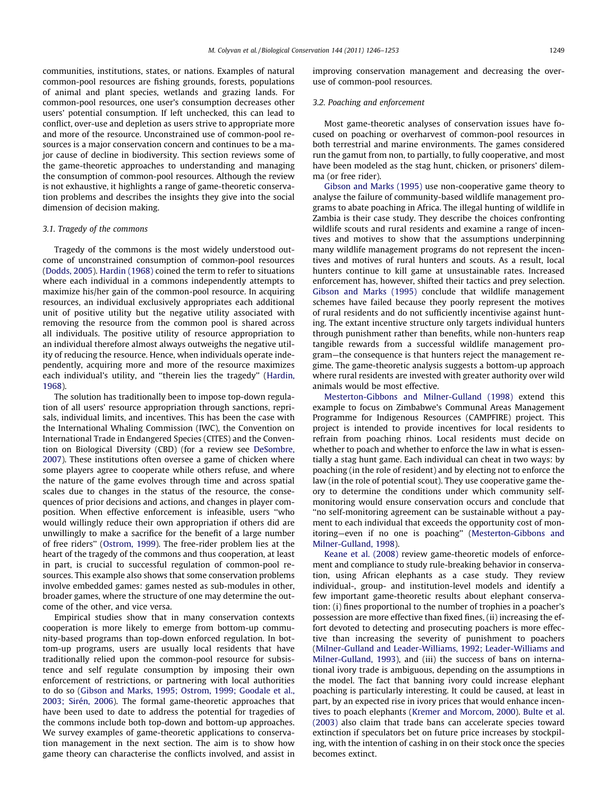communities, institutions, states, or nations. Examples of natural common-pool resources are fishing grounds, forests, populations of animal and plant species, wetlands and grazing lands. For common-pool resources, one user's consumption decreases other users' potential consumption. If left unchecked, this can lead to conflict, over-use and depletion as users strive to appropriate more and more of the resource. Unconstrained use of common-pool resources is a major conservation concern and continues to be a major cause of decline in biodiversity. This section reviews some of the game-theoretic approaches to understanding and managing the consumption of common-pool resources. Although the review is not exhaustive, it highlights a range of game-theoretic conservation problems and describes the insights they give into the social dimension of decision making.

# 3.1. Tragedy of the commons

Tragedy of the commons is the most widely understood outcome of unconstrained consumption of common-pool resources ([Dodds, 2005](#page-6-0)). [Hardin \(1968\)](#page-6-0) coined the term to refer to situations where each individual in a commons independently attempts to maximize his/her gain of the common-pool resource. In acquiring resources, an individual exclusively appropriates each additional unit of positive utility but the negative utility associated with removing the resource from the common pool is shared across all individuals. The positive utility of resource appropriation to an individual therefore almost always outweighs the negative utility of reducing the resource. Hence, when individuals operate independently, acquiring more and more of the resource maximizes each individual's utility, and ''therein lies the tragedy'' ([Hardin,](#page-6-0) [1968\)](#page-6-0).

The solution has traditionally been to impose top-down regulation of all users' resource appropriation through sanctions, reprisals, individual limits, and incentives. This has been the case with the International Whaling Commission (IWC), the Convention on International Trade in Endangered Species (CITES) and the Convention on Biological Diversity (CBD) (for a review see [DeSombre,](#page-6-0) [2007](#page-6-0)). These institutions often oversee a game of chicken where some players agree to cooperate while others refuse, and where the nature of the game evolves through time and across spatial scales due to changes in the status of the resource, the consequences of prior decisions and actions, and changes in player composition. When effective enforcement is infeasible, users ''who would willingly reduce their own appropriation if others did are unwillingly to make a sacrifice for the benefit of a large number of free riders'' ([Ostrom, 1999](#page-7-0)). The free-rider problem lies at the heart of the tragedy of the commons and thus cooperation, at least in part, is crucial to successful regulation of common-pool resources. This example also shows that some conservation problems involve embedded games: games nested as sub-modules in other, broader games, where the structure of one may determine the outcome of the other, and vice versa.

Empirical studies show that in many conservation contexts cooperation is more likely to emerge from bottom-up community-based programs than top-down enforced regulation. In bottom-up programs, users are usually local residents that have traditionally relied upon the common-pool resource for subsistence and self regulate consumption by imposing their own enforcement of restrictions, or partnering with local authorities to do so [\(Gibson and Marks, 1995; Ostrom, 1999; Goodale et al.,](#page-6-0) [2003; Sirén, 2006\)](#page-6-0). The formal game-theoretic approaches that have been used to date to address the potential for tragedies of the commons include both top-down and bottom-up approaches. We survey examples of game-theoretic applications to conservation management in the next section. The aim is to show how game theory can characterise the conflicts involved, and assist in improving conservation management and decreasing the overuse of common-pool resources.

## 3.2. Poaching and enforcement

Most game-theoretic analyses of conservation issues have focused on poaching or overharvest of common-pool resources in both terrestrial and marine environments. The games considered run the gamut from non, to partially, to fully cooperative, and most have been modeled as the stag hunt, chicken, or prisoners' dilemma (or free rider).

[Gibson and Marks \(1995\)](#page-6-0) use non-cooperative game theory to analyse the failure of community-based wildlife management programs to abate poaching in Africa. The illegal hunting of wildlife in Zambia is their case study. They describe the choices confronting wildlife scouts and rural residents and examine a range of incentives and motives to show that the assumptions underpinning many wildlife management programs do not represent the incentives and motives of rural hunters and scouts. As a result, local hunters continue to kill game at unsustainable rates. Increased enforcement has, however, shifted their tactics and prey selection. [Gibson and Marks \(1995\)](#page-6-0) conclude that wildlife management schemes have failed because they poorly represent the motives of rural residents and do not sufficiently incentivise against hunting. The extant incentive structure only targets individual hunters through punishment rather than benefits, while non-hunters reap tangible rewards from a successful wildlife management program—the consequence is that hunters reject the management regime. The game-theoretic analysis suggests a bottom-up approach where rural residents are invested with greater authority over wild animals would be most effective.

[Mesterton-Gibbons and Milner-Gulland \(1998\)](#page-6-0) extend this example to focus on Zimbabwe's Communal Areas Management Programme for Indigenous Resources (CAMPFIRE) project. This project is intended to provide incentives for local residents to refrain from poaching rhinos. Local residents must decide on whether to poach and whether to enforce the law in what is essentially a stag hunt game. Each individual can cheat in two ways: by poaching (in the role of resident) and by electing not to enforce the law (in the role of potential scout). They use cooperative game theory to determine the conditions under which community selfmonitoring would ensure conservation occurs and conclude that ''no self-monitoring agreement can be sustainable without a payment to each individual that exceeds the opportunity cost of monitoring—even if no one is poaching'' ([Mesterton-Gibbons and](#page-6-0) [Milner-Gulland, 1998](#page-6-0)).

[Keane et al. \(2008\)](#page-6-0) review game-theoretic models of enforcement and compliance to study rule-breaking behavior in conservation, using African elephants as a case study. They review individual-, group- and institution-level models and identify a few important game-theoretic results about elephant conservation: (i) fines proportional to the number of trophies in a poacher's possession are more effective than fixed fines, (ii) increasing the effort devoted to detecting and prosecuting poachers is more effective than increasing the severity of punishment to poachers ([Milner-Gulland and Leader-Williams, 1992; Leader-Williams and](#page-7-0) [Milner-Gulland, 1993](#page-7-0)), and (iii) the success of bans on international ivory trade is ambiguous, depending on the assumptions in the model. The fact that banning ivory could increase elephant poaching is particularly interesting. It could be caused, at least in part, by an expected rise in ivory prices that would enhance incentives to poach elephants ([Kremer and Morcom, 2000](#page-6-0)). [Bulte et al.](#page-6-0) [\(2003\)](#page-6-0) also claim that trade bans can accelerate species toward extinction if speculators bet on future price increases by stockpiling, with the intention of cashing in on their stock once the species becomes extinct.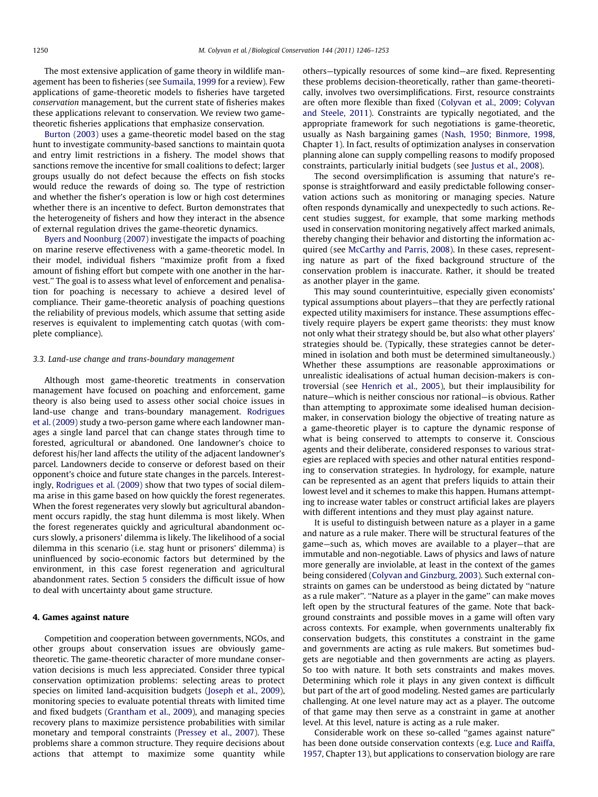<span id="page-4-0"></span>The most extensive application of game theory in wildlife management has been to fisheries (see [Sumaila, 1999](#page-7-0) for a review). Few applications of game-theoretic models to fisheries have targeted conservation management, but the current state of fisheries makes these applications relevant to conservation. We review two gametheoretic fisheries applications that emphasize conservation.

[Burton \(2003\)](#page-6-0) uses a game-theoretic model based on the stag hunt to investigate community-based sanctions to maintain quota and entry limit restrictions in a fishery. The model shows that sanctions remove the incentive for small coalitions to defect; larger groups usually do not defect because the effects on fish stocks would reduce the rewards of doing so. The type of restriction and whether the fisher's operation is low or high cost determines whether there is an incentive to defect. Burton demonstrates that the heterogeneity of fishers and how they interact in the absence of external regulation drives the game-theoretic dynamics.

[Byers and Noonburg \(2007\)](#page-6-0) investigate the impacts of poaching on marine reserve effectiveness with a game-theoretic model. In their model, individual fishers ''maximize profit from a fixed amount of fishing effort but compete with one another in the harvest.'' The goal is to assess what level of enforcement and penalisation for poaching is necessary to achieve a desired level of compliance. Their game-theoretic analysis of poaching questions the reliability of previous models, which assume that setting aside reserves is equivalent to implementing catch quotas (with complete compliance).

### 3.3. Land-use change and trans-boundary management

Although most game-theoretic treatments in conservation management have focused on poaching and enforcement, game theory is also being used to assess other social choice issues in land-use change and trans-boundary management. [Rodrigues](#page-7-0) [et al. \(2009\)](#page-7-0) study a two-person game where each landowner manages a single land parcel that can change states through time to forested, agricultural or abandoned. One landowner's choice to deforest his/her land affects the utility of the adjacent landowner's parcel. Landowners decide to conserve or deforest based on their opponent's choice and future state changes in the parcels. Interestingly, [Rodrigues et al. \(2009\)](#page-7-0) show that two types of social dilemma arise in this game based on how quickly the forest regenerates. When the forest regenerates very slowly but agricultural abandonment occurs rapidly, the stag hunt dilemma is most likely. When the forest regenerates quickly and agricultural abandonment occurs slowly, a prisoners' dilemma is likely. The likelihood of a social dilemma in this scenario (i.e. stag hunt or prisoners' dilemma) is uninfluenced by socio-economic factors but determined by the environment, in this case forest regeneration and agricultural abandonment rates. Section [5](#page-5-0) considers the difficult issue of how to deal with uncertainty about game structure.

# 4. Games against nature

Competition and cooperation between governments, NGOs, and other groups about conservation issues are obviously gametheoretic. The game-theoretic character of more mundane conservation decisions is much less appreciated. Consider three typical conservation optimization problems: selecting areas to protect species on limited land-acquisition budgets [\(Joseph et al., 2009\)](#page-6-0), monitoring species to evaluate potential threats with limited time and fixed budgets ([Grantham et al., 2009](#page-6-0)), and managing species recovery plans to maximize persistence probabilities with similar monetary and temporal constraints [\(Pressey et al., 2007](#page-7-0)). These problems share a common structure. They require decisions about actions that attempt to maximize some quantity while others—typically resources of some kind—are fixed. Representing these problems decision-theoretically, rather than game-theoretically, involves two oversimplifications. First, resource constraints are often more flexible than fixed ([Colyvan et al., 2009; Colyvan](#page-6-0) [and Steele, 2011](#page-6-0)). Constraints are typically negotiated, and the appropriate framework for such negotiations is game-theoretic, usually as Nash bargaining games [\(Nash, 1950; Binmore, 1998,](#page-7-0) Chapter 1). In fact, results of optimization analyses in conservation planning alone can supply compelling reasons to modify proposed constraints, particularly initial budgets (see [Justus et al., 2008](#page-6-0)).

The second oversimplification is assuming that nature's response is straightforward and easily predictable following conservation actions such as monitoring or managing species. Nature often responds dynamically and unexpectedly to such actions. Recent studies suggest, for example, that some marking methods used in conservation monitoring negatively affect marked animals, thereby changing their behavior and distorting the information acquired (see [McCarthy and Parris, 2008](#page-6-0)). In these cases, representing nature as part of the fixed background structure of the conservation problem is inaccurate. Rather, it should be treated as another player in the game.

This may sound counterintuitive, especially given economists' typical assumptions about players—that they are perfectly rational expected utility maximisers for instance. These assumptions effectively require players be expert game theorists: they must know not only what their strategy should be, but also what other players' strategies should be. (Typically, these strategies cannot be determined in isolation and both must be determined simultaneously.) Whether these assumptions are reasonable approximations or unrealistic idealisations of actual human decision-makers is controversial (see [Henrich et al., 2005\)](#page-6-0), but their implausibility for nature—which is neither conscious nor rational—is obvious. Rather than attempting to approximate some idealised human decisionmaker, in conservation biology the objective of treating nature as a game-theoretic player is to capture the dynamic response of what is being conserved to attempts to conserve it. Conscious agents and their deliberate, considered responses to various strategies are replaced with species and other natural entities responding to conservation strategies. In hydrology, for example, nature can be represented as an agent that prefers liquids to attain their lowest level and it schemes to make this happen. Humans attempting to increase water tables or construct artificial lakes are players with different intentions and they must play against nature.

It is useful to distinguish between nature as a player in a game and nature as a rule maker. There will be structural features of the game—such as, which moves are available to a player—that are immutable and non-negotiable. Laws of physics and laws of nature more generally are inviolable, at least in the context of the games being considered ([Colyvan and Ginzburg, 2003](#page-6-0)). Such external constraints on games can be understood as being dictated by ''nature as a rule maker''. ''Nature as a player in the game'' can make moves left open by the structural features of the game. Note that background constraints and possible moves in a game will often vary across contexts. For example, when governments unalterably fix conservation budgets, this constitutes a constraint in the game and governments are acting as rule makers. But sometimes budgets are negotiable and then governments are acting as players. So too with nature. It both sets constraints and makes moves. Determining which role it plays in any given context is difficult but part of the art of good modeling. Nested games are particularly challenging. At one level nature may act as a player. The outcome of that game may then serve as a constraint in game at another level. At this level, nature is acting as a rule maker.

Considerable work on these so-called ''games against nature'' has been done outside conservation contexts (e.g. [Luce and Raiffa,](#page-6-0) [1957,](#page-6-0) Chapter 13), but applications to conservation biology are rare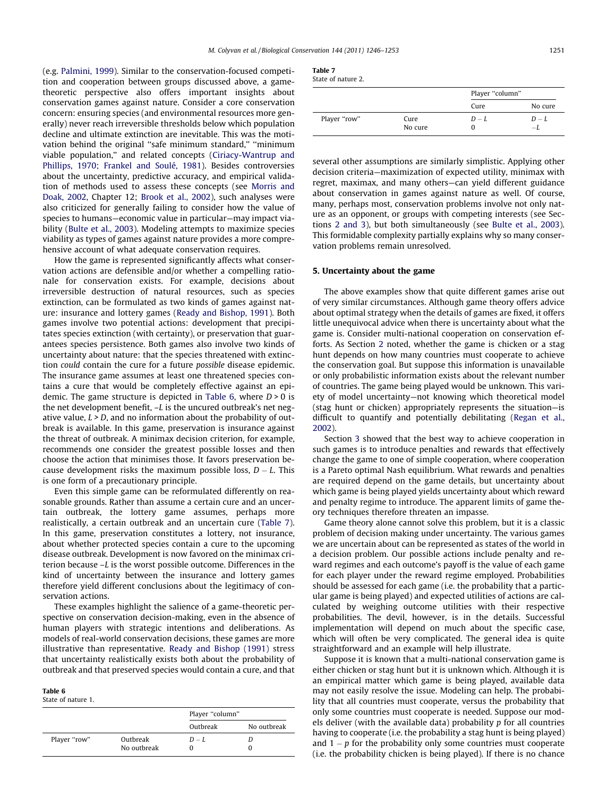<span id="page-5-0"></span>(e.g. [Palmini, 1999](#page-7-0)). Similar to the conservation-focused competition and cooperation between groups discussed above, a gametheoretic perspective also offers important insights about conservation games against nature. Consider a core conservation concern: ensuring species (and environmental resources more generally) never reach irreversible thresholds below which population decline and ultimate extinction are inevitable. This was the motivation behind the original "safe minimum standard," "minimum viable population,'' and related concepts ([Ciriacy-Wantrup and](#page-6-0) [Phillips, 1970; Frankel and Soulé, 1981\)](#page-6-0). Besides controversies about the uncertainty, predictive accuracy, and empirical validation of methods used to assess these concepts (see [Morris and](#page-7-0) [Doak, 2002](#page-7-0), Chapter 12; [Brook et al., 2002\)](#page-6-0), such analyses were also criticized for generally failing to consider how the value of species to humans—economic value in particular—may impact viability [\(Bulte et al., 2003](#page-6-0)). Modeling attempts to maximize species viability as types of games against nature provides a more comprehensive account of what adequate conservation requires.

How the game is represented significantly affects what conservation actions are defensible and/or whether a compelling rationale for conservation exists. For example, decisions about irreversible destruction of natural resources, such as species extinction, can be formulated as two kinds of games against nature: insurance and lottery games ([Ready and Bishop, 1991](#page-7-0)). Both games involve two potential actions: development that precipitates species extinction (with certainty), or preservation that guarantees species persistence. Both games also involve two kinds of uncertainty about nature: that the species threatened with extinction could contain the cure for a future possible disease epidemic. The insurance game assumes at least one threatened species contains a cure that would be completely effective against an epidemic. The game structure is depicted in Table 6, where  $D > 0$  is the net development benefit, –L is the uncured outbreak's net negative value,  $L > D$ , and no information about the probability of outbreak is available. In this game, preservation is insurance against the threat of outbreak. A minimax decision criterion, for example, recommends one consider the greatest possible losses and then choose the action that minimises those. It favors preservation because development risks the maximum possible loss,  $D-L$ . This is one form of a precautionary principle.

Even this simple game can be reformulated differently on reasonable grounds. Rather than assume a certain cure and an uncertain outbreak, the lottery game assumes, perhaps more realistically, a certain outbreak and an uncertain cure (Table 7). In this game, preservation constitutes a lottery, not insurance, about whether protected species contain a cure to the upcoming disease outbreak. Development is now favored on the minimax criterion because –L is the worst possible outcome. Differences in the kind of uncertainty between the insurance and lottery games therefore yield different conclusions about the legitimacy of conservation actions.

These examples highlight the salience of a game-theoretic perspective on conservation decision-making, even in the absence of human players with strategic intentions and deliberations. As models of real-world conservation decisions, these games are more illustrative than representative. [Ready and Bishop \(1991\)](#page-7-0) stress that uncertainty realistically exists both about the probability of outbreak and that preserved species would contain a cure, and that

#### Table 6

State of nature 1.

|              |                         | Player "column" |             |
|--------------|-------------------------|-----------------|-------------|
|              |                         | Outbreak        | No outbreak |
| Player "row" | Outbreak<br>No outbreak | $D-L$           |             |

| ۹<br>×<br>× |  |
|-------------|--|
|-------------|--|

| State of nature 2. |  |
|--------------------|--|
|--------------------|--|

|              |                 | Player "column" |               |
|--------------|-----------------|-----------------|---------------|
|              |                 | Cure            | No cure       |
| Player "row" | Cure<br>No cure | $D-L$           | $D-L$<br>— I. |

several other assumptions are similarly simplistic. Applying other decision criteria—maximization of expected utility, minimax with regret, maximax, and many others—can yield different guidance about conservation in games against nature as well. Of course, many, perhaps most, conservation problems involve not only nature as an opponent, or groups with competing interests (see Sections [2 and 3\)](#page-1-0), but both simultaneously (see [Bulte et al., 2003\)](#page-6-0). This formidable complexity partially explains why so many conservation problems remain unresolved.

## 5. Uncertainty about the game

The above examples show that quite different games arise out of very similar circumstances. Although game theory offers advice about optimal strategy when the details of games are fixed, it offers little unequivocal advice when there is uncertainty about what the game is. Consider multi-national cooperation on conservation efforts. As Section [2](#page-1-0) noted, whether the game is chicken or a stag hunt depends on how many countries must cooperate to achieve the conservation goal. But suppose this information is unavailable or only probabilistic information exists about the relevant number of countries. The game being played would be unknown. This variety of model uncertainty—not knowing which theoretical model (stag hunt or chicken) appropriately represents the situation—is difficult to quantify and potentially debilitating ([Regan et al.,](#page-7-0) [2002](#page-7-0)).

Section [3](#page-2-0) showed that the best way to achieve cooperation in such games is to introduce penalties and rewards that effectively change the game to one of simple cooperation, where cooperation is a Pareto optimal Nash equilibrium. What rewards and penalties are required depend on the game details, but uncertainty about which game is being played yields uncertainty about which reward and penalty regime to introduce. The apparent limits of game theory techniques therefore threaten an impasse.

Game theory alone cannot solve this problem, but it is a classic problem of decision making under uncertainty. The various games we are uncertain about can be represented as states of the world in a decision problem. Our possible actions include penalty and reward regimes and each outcome's payoff is the value of each game for each player under the reward regime employed. Probabilities should be assessed for each game (i.e. the probability that a particular game is being played) and expected utilities of actions are calculated by weighing outcome utilities with their respective probabilities. The devil, however, is in the details. Successful implementation will depend on much about the specific case, which will often be very complicated. The general idea is quite straightforward and an example will help illustrate.

Suppose it is known that a multi-national conservation game is either chicken or stag hunt but it is unknown which. Although it is an empirical matter which game is being played, available data may not easily resolve the issue. Modeling can help. The probability that all countries must cooperate, versus the probability that only some countries must cooperate is needed. Suppose our models deliver (with the available data) probability  $p$  for all countries having to cooperate (i.e. the probability a stag hunt is being played) and  $1-p$  for the probability only some countries must cooperate (i.e. the probability chicken is being played). If there is no chance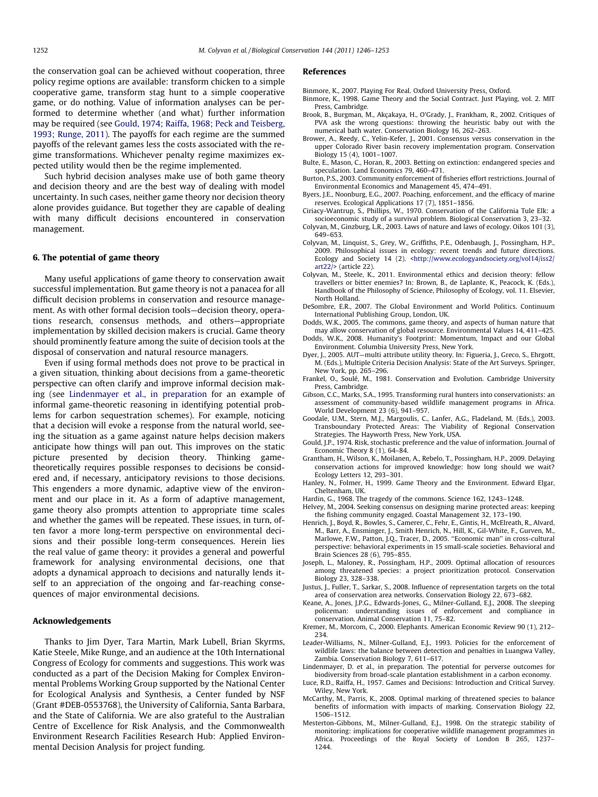<span id="page-6-0"></span>the conservation goal can be achieved without cooperation, three policy regime options are available: transform chicken to a simple cooperative game, transform stag hunt to a simple cooperative game, or do nothing. Value of information analyses can be performed to determine whether (and what) further information may be required (see Gould, 1974; Raiffa, 1968; Peck and Teisberg, 1993; Runge, 2011). The payoffs for each regime are the summed payoffs of the relevant games less the costs associated with the regime transformations. Whichever penalty regime maximizes expected utility would then be the regime implemented.

Such hybrid decision analyses make use of both game theory and decision theory and are the best way of dealing with model uncertainty. In such cases, neither game theory nor decision theory alone provides guidance. But together they are capable of dealing with many difficult decisions encountered in conservation management.

### 6. The potential of game theory

Many useful applications of game theory to conservation await successful implementation. But game theory is not a panacea for all difficult decision problems in conservation and resource management. As with other formal decision tools—decision theory, operations research, consensus methods, and others—appropriate implementation by skilled decision makers is crucial. Game theory should prominently feature among the suite of decision tools at the disposal of conservation and natural resource managers.

Even if using formal methods does not prove to be practical in a given situation, thinking about decisions from a game-theoretic perspective can often clarify and improve informal decision making (see Lindenmayer et al., in preparation for an example of informal game-theoretic reasoning in identifying potential problems for carbon sequestration schemes). For example, noticing that a decision will evoke a response from the natural world, seeing the situation as a game against nature helps decision makers anticipate how things will pan out. This improves on the static picture presented by decision theory. Thinking gametheoretically requires possible responses to decisions be considered and, if necessary, anticipatory revisions to those decisions. This engenders a more dynamic, adaptive view of the environment and our place in it. As a form of adaptive management, game theory also prompts attention to appropriate time scales and whether the games will be repeated. These issues, in turn, often favor a more long-term perspective on environmental decisions and their possible long-term consequences. Herein lies the real value of game theory: it provides a general and powerful framework for analysing environmental decisions, one that adopts a dynamical approach to decisions and naturally lends itself to an appreciation of the ongoing and far-reaching consequences of major environmental decisions.

## Acknowledgements

Thanks to Jim Dyer, Tara Martin, Mark Lubell, Brian Skyrms, Katie Steele, Mike Runge, and an audience at the 10th International Congress of Ecology for comments and suggestions. This work was conducted as a part of the Decision Making for Complex Environmental Problems Working Group supported by the National Center for Ecological Analysis and Synthesis, a Center funded by NSF (Grant #DEB-0553768), the University of California, Santa Barbara, and the State of California. We are also grateful to the Australian Centre of Excellence for Risk Analysis, and the Commonwealth Environment Research Facilities Research Hub: Applied Environmental Decision Analysis for project funding.

# References

Binmore, K., 2007. Playing For Real. Oxford University Press, Oxford.

- Binmore, K., 1998. Game Theory and the Social Contract. Just Playing, vol. 2. MIT Press, Cambridge.
- Brook, B., Burgman, M., Akçakaya, H., O'Grady, J., Frankham, R., 2002. Critiques of PVA ask the wrong questions: throwing the heuristic baby out with the numerical bath water. Conservation Biology 16, 262–263.
- Brower, A., Reedy, C., Yelin-Kefer, J., 2001. Consensus versus conservation in the upper Colorado River basin recovery implementation program. Conservation Biology 15 (4), 1001–1007.
- Bulte, E., Mason, C., Horan, R., 2003. Betting on extinction: endangered species and speculation. Land Economics 79, 460–471.
- Burton, P.S., 2003. Community enforcement of fisheries effort restrictions. Journal of Environmental Economics and Management 45, 474–491.
- Byers, J.E., Noonburg, E.G., 2007. Poaching, enforcement, and the efficacy of marine reserves. Ecological Applications 17 (7), 1851–1856.
- Ciriacy-Wantrup, S., Phillips, W., 1970. Conservation of the California Tule Elk: a socioeconomic study of a survival problem. Biological Conservation 3, 23–32.
- Colyvan, M., Ginzburg, L.R., 2003. Laws of nature and laws of ecology. Oikos 101 (3), 649–653.
- Colyvan, M., Linquist, S., Grey, W., Griffiths, P.E., Odenbaugh, J., Possingham, H.P., 2009. Philosophical issues in ecology: recent trends and future directions. Ecology and Society 14 (2). < http://www.ecologyandsociety.org/vol14/iss2/ [art22/](http://www.ecologyandsociety.org/vol14/iss2/art22/)> (article 22).
- Colyvan, M., Steele, K., 2011. Environmental ethics and decision theory: fellow travellers or bitter enemies? In: Brown, B., de Laplante, K., Peacock, K. (Eds.), Handbook of the Philosophy of Science, Philosophy of Ecology, vol. 11. Elsevier, North Holland.
- DeSombre, E.R., 2007. The Global Environment and World Politics. Continuum International Publishing Group, London, UK.
- Dodds, W.K., 2005. The commons, game theory, and aspects of human nature that may allow conservation of global resource. Environmental Values 14, 411–425.
- Dodds, W.K., 2008. Humanity's Footprint: Momentum, Impact and our Global Environment. Columbia University Press, New York.
- Dyer, J., 2005. AUT—multi attribute utility theory. In: Figueria, J., Greco, S., Ehrgott, M. (Eds.), Multiple Criteria Decision Analysis: State of the Art Surveys. Springer, New York, pp. 265–296.
- Frankel, O., Soulé, M., 1981. Conservation and Evolution. Cambridge University Press, Cambridge.
- Gibson, C.C., Marks, S.A., 1995. Transforming rural hunters into conservationists: an assessment of community-based wildlife management programs in Africa. World Development 23 (6), 941–957.
- Goodale, U.M., Stern, M.J., Margoulis, C., Lanfer, A.G., Fladeland, M. (Eds.), 2003. Transboundary Protected Areas: The Viability of Regional Conservation Strategies. The Hayworth Press, New York, USA.
- Gould, J.P., 1974. Risk, stochastic preference and the value of information. Journal of Economic Theory 8 (1), 64–84.
- Grantham, H., Wilson, K., Moilanen, A., Rebelo, T., Possingham, H.P., 2009. Delaying conservation actions for improved knowledge: how long should we wait? Ecology Letters 12, 293–301.
- Hanley, N., Folmer, H., 1999. Game Theory and the Environment. Edward Elgar, Cheltenham, UK.
- Hardin, G., 1968. The tragedy of the commons. Science 162, 1243–1248.
- Helvey, M., 2004. Seeking consensus on designing marine protected areas: keeping the fishing community engaged. Coastal Management 32, 173–190.
- Henrich, J., Boyd, R., Bowles, S., Camerer, C., Fehr, E., Gintis, H., McElreath, R., Alvard, M., Barr, A., Ensminger, J., Smith Henrich, N., Hill, K., Gil-White, F., Gurven, M., Marlowe, F.W., Patton, J.Q., Tracer, D., 2005. ''Economic man'' in cross-cultural perspective: behavioral experiments in 15 small-scale societies. Behavioral and Brain Sciences 28 (6), 795–855.
- Joseph, L., Maloney, R., Possingham, H.P., 2009. Optimal allocation of resources among threatened species: a project prioritization protocol. Conservation Biology 23, 328–338.
- Justus, J., Fuller, T., Sarkar, S., 2008. Influence of representation targets on the total area of conservation area networks. Conservation Biology 22, 673–682.
- Keane, A., Jones, J.P.G., Edwards-Jones, G., Milner-Gulland, E.J., 2008. The sleeping policeman: understanding issues of enforcement and compliance in conservation. Animal Conservation 11, 75–82.
- Kremer, M., Morcom, C., 2000. Elephants. American Economic Review 90 (1), 212– 234.
- Leader-Williams, N., Milner-Gulland, E.J., 1993. Policies for the enforcement of wildlife laws: the balance between detection and penalties in Luangwa Valley, Zambia. Conservation Biology 7, 611–617.
- Lindenmayer, D. et al., in preparation. The potential for perverse outcomes for biodiversity from broad-scale plantation establishment in a carbon economy.
- Luce, R.D., Raiffa, H., 1957. Games and Decisions: Introduction and Critical Survey. Wiley, New York.
- McCarthy, M., Parris, K., 2008. Optimal marking of threatened species to balance benefits of information with impacts of marking. Conservation Biology 22, 1506–1512.
- Mesterton-Gibbons, M., Milner-Gulland, E.J., 1998. On the strategic stability of monitoring: implications for cooperative wildlife management programmes in Africa. Proceedings of the Royal Society of London B 265, 1237– 1244.